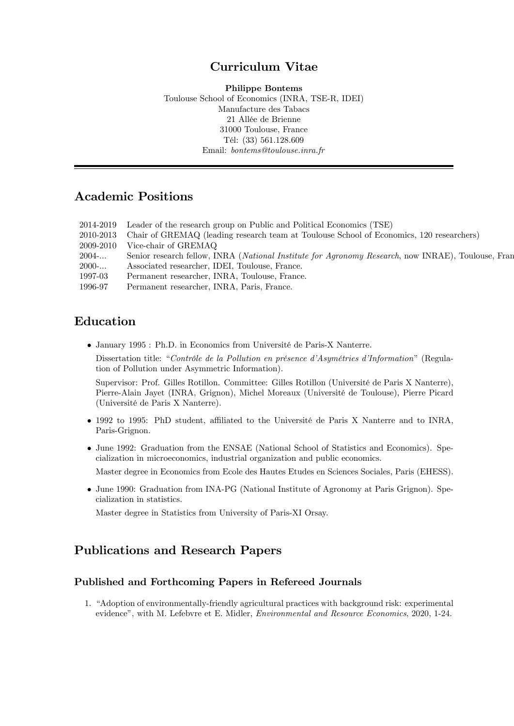# Curriculum Vitae

Philippe Bontems Toulouse School of Economics (INRA, TSE-R, IDEI) Manufacture des Tabacs 21 Allée de Brienne 31000 Toulouse, France TÈl: (33) 561.128.609 Email: bontems@toulouse.inra.fr

# Academic Positions

| 2014-2019 | Leader of the research group on Public and Political Economics (TSE)                               |
|-----------|----------------------------------------------------------------------------------------------------|
| 2010-2013 | Chair of GREMAQ (leading research team at Toulouse School of Economics, 120 researchers)           |
| 2009-2010 | Vice-chair of GREMAQ                                                                               |
| $2004$ -  | Senior research fellow, INRA (National Institute for Agronomy Research, now INRAE), Toulouse, Fran |
| $2000$ -  | Associated researcher, IDEI, Toulouse, France.                                                     |
| 1997-03   | Permanent researcher, INRA, Toulouse, France.                                                      |
| 1996-97   | Permanent researcher, INRA, Paris, France.                                                         |

# Education

• January 1995 : Ph.D. in Economics from Université de Paris-X Nanterre.

Dissertation title: "Contrôle de la Pollution en présence d'Asymétries d'Information" (Regulation of Pollution under Asymmetric Information).

Supervisor: Prof. Gilles Rotillon. Committee: Gilles Rotillon (Université de Paris X Nanterre), Pierre-Alain Jayet (INRA, Grignon), Michel Moreaux (Université de Toulouse), Pierre Picard (UniversitÈ de Paris X Nanterre).

- $\bullet$  1992 to 1995: PhD student, affiliated to the Université de Paris X Nanterre and to INRA, Paris-Grignon.
- June 1992: Graduation from the ENSAE (National School of Statistics and Economics). Specialization in microeconomics, industrial organization and public economics.

Master degree in Economics from Ecole des Hautes Etudes en Sciences Sociales, Paris (EHESS).

 June 1990: Graduation from INA-PG (National Institute of Agronomy at Paris Grignon). Specialization in statistics.

Master degree in Statistics from University of Paris-XI Orsay.

# Publications and Research Papers

#### Published and Forthcoming Papers in Refereed Journals

1. "Adoption of environmentally-friendly agricultural practices with background risk: experimental evidence", with M. Lefebvre et E. Midler, *Environmental and Resource Economics*, 2020, 1-24.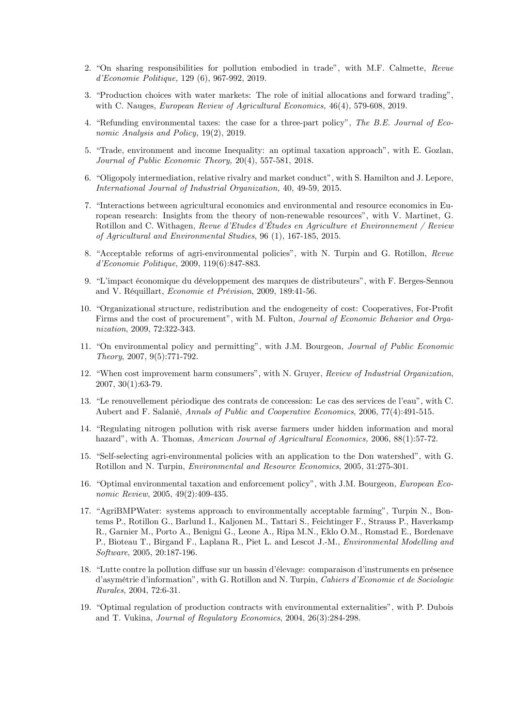- 2. "On sharing responsibilities for pollution embodied in trade", with M.F. Calmette, Revue d'Economie Politique, 129 (6), 967-992, 2019.
- 3. "Production choices with water markets: The role of initial allocations and forward trading", with C. Nauges, *European Review of Agricultural Economics*, 46(4), 579-608, 2019.
- 4. "Refunding environmental taxes: the case for a three-part policy", The B.E. Journal of Economic Analysis and Policy, 19(2), 2019.
- 5. "Trade, environment and income Inequality: an optimal taxation approach", with E. Gozlan, Journal of Public Economic Theory, 20(4), 557-581, 2018.
- 6. "Oligopoly intermediation, relative rivalry and market conduct", with S. Hamilton and J. Lepore, *International Journal of Industrial Organization.* 40, 49-59, 2015.
- 7. "Interactions between agricultural economics and environmental and resource economics in European research: Insights from the theory of non-renewable resources", with V. Martinet, G. Rotillon and C. Withagen, Revue d'Etudes d'Études en Agriculture et Environnement / Review of Agricultural and Environmental Studies, 96 (1), 167-185, 2015.
- 8. "Acceptable reforms of agri-environmental policies", with N. Turpin and G. Rotillon, Revue d'Economie Politique, 2009, 119(6):847-883.
- 9. "L'impact économique du développement des marques de distributeurs", with F. Berges-Sennou and V. Réquillart, Economie et Prévision, 2009, 189:41-56.
- 10. "Organizational structure, redistribution and the endogeneity of cost: Cooperatives, For-Profit Firms and the cost of procurement", with M. Fulton, Journal of Economic Behavior and Organization, 2009, 72:322-343.
- 11. "On environmental policy and permitting", with J.M. Bourgeon, *Journal of Public Economic* Theory, 2007, 9(5):771-792.
- 12. "When cost improvement harm consumers", with N. Gruyer, Review of Industrial Organization,  $2007, 30(1):63-79.$
- 13. "Le renouvellement périodique des contrats de concession: Le cas des services de l'eau", with C. Aubert and F. Salanié, Annals of Public and Cooperative Economics, 2006, 77(4):491-515.
- 14. "Regulating nitrogen pollution with risk averse farmers under hidden information and moral hazard", with A. Thomas, American Journal of Agricultural Economics, 2006, 88(1):57-72.
- 15. "Self-selecting agri-environmental policies with an application to the Don watershed", with G. Rotillon and N. Turpin, *Environmental and Resource Economics*, 2005, 31:275-301.
- 16. "Optimal environmental taxation and enforcement policy", with J.M. Bourgeon, European Economic Review, 2005, 49(2):409-435.
- 17. "AgriBMPWater: systems approach to environmentally acceptable farming", Turpin N., Bontems P., Rotillon G., Barlund I., Kaljonen M., Tattari S., Feichtinger F., Strauss P., Haverkamp R., Garnier M., Porto A., Benigni G., Leone A., Ripa M.N., Eklo O.M., Romstad E., Bordenave P., Bioteau T., Birgand F., Laplana R., Piet L. and Lescot J.-M., Environmental Modelling and Software, 2005, 20:187-196.
- 18. "Lutte contre la pollution diffuse sur un bassin d'élevage: comparaison d'instruments en présence d'asymétrie d'information", with G. Rotillon and N. Turpin, Cahiers d'Economie et de Sociologie Rurales, 2004, 72:6-31.
- 19. "Optimal regulation of production contracts with environmental externalities", with P. Dubois and T. Vukina, Journal of Regulatory Economics, 2004, 26(3):284-298.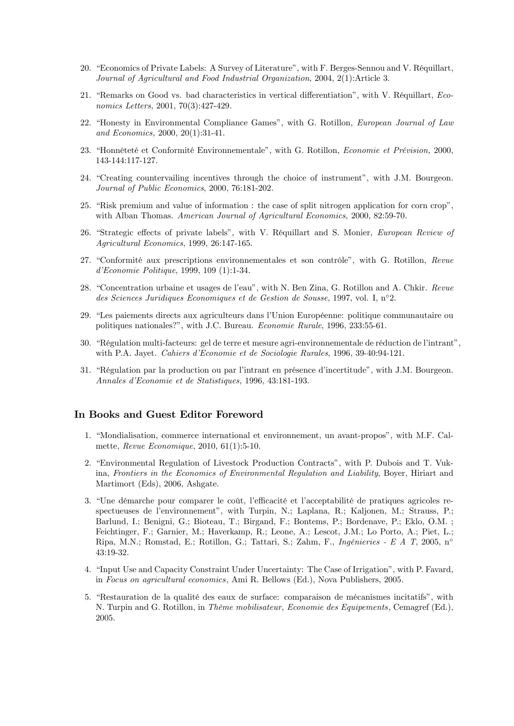- 20. "Economics of Private Labels: A Survey of Literature", with F. Berges-Sennou and V. Réquillart, Journal of Agricultural and Food Industrial Organization, 2004, 2(1):Article 3.
- 21. "Remarks on Good vs. bad characteristics in vertical differentiation", with V. Réquillart, Economics Letters, 2001, 70(3):427-429.
- 22. "Honesty in Environmental Compliance Games", with G. Rotillon, *European Journal of Law* and Economics. 2000. 20(1):31-41.
- 23. "Honnêteté et Conformité Environnementale", with G. Rotillon, *Economie et Prévision*, 2000, 143-144:117-127.
- 24. "Creating countervailing incentives through the choice of instrument", with J.M. Bourgeon. Journal of Public Economics, 2000, 76:181-202.
- 25. "Risk premium and value of information: the case of split nitrogen application for corn crop". with Alban Thomas. American Journal of Agricultural Economics. 2000, 82:59-70.
- 26. "Strategic effects of private labels", with V. Réquillart and S. Monier, European Review of Agricultural Economics, 1999, 26:147-165.
- 27. "Conformité aux prescriptions environmementales et son contrôle", with G. Rotillon, Revue  $d'Economie$  Politique, 1999, 109 (1):1-34.
- 28. "Concentration urbaine et usages de l'eau", with N. Ben Zina, G. Rotillon and A. Chkir. Revue des Sciences Juridiques Economiques et de Gestion de Sousse, 1997, vol. I,  $n^{\circ}2$ .
- 29. "Les paiements directs aux agriculteurs dans l'Union Européenne: politique communautaire ou politiques nationales?", with J.C. Bureau. Economie Rurale, 1996, 233:55-61.
- 30. "Régulation multi-facteurs: gel de terre et mesure agri-environnementale de réduction de l'intrant", with P.A. Jayet. Cahiers d'Economie et de Sociologie Rurales, 1996, 39-40:94-121.
- 31. "Régulation par la production ou par l'intrant en présence d'incertitude", with J.M. Bourgeon. Annales d'Economie et de Statistiques, 1996, 43:181-193.

#### In Books and Guest Editor Foreword

- 1. "Mondialisation, commerce international et environmement, un avant-propos", with M.F. Calmette,  $Revue\ Economic$ , 2010, 61(1):5-10.
- 2. "Environmental Regulation of Livestock Production Contracts", with P. Dubois and T. Vukina, Frontiers in the Economics of Environmental Regulation and Liability, Boyer, Hiriart and Martimort (Eds), 2006, Ashgate.
- 3. "Une démarche pour comparer le coût, l'efficacité et l'acceptabilité de pratiques agricoles respectueuses de l'environnement", with Turpin, N.; Laplana, R.; Kaljonen, M.; Strauss, P.; Barlund, I.; Benigni, G.; Bioteau, T.; Birgand, F.; Bontems, P.; Bordenave, P.; Eklo, O.M.; Feichtinger, F.; Garnier, M.; Haverkamp, R.; Leone, A.; Lescot, J.M.; Lo Porto, A.; Piet, L.; Ripa, M.N.; Romstad, E.; Rotillon, G.; Tattari, S.; Zahm, F., Ingénieries - E A T, 2005, n° 43:19-32.
- 4. "Input Use and Capacity Constraint Under Uncertainty: The Case of Irrigation", with P. Favard, in Focus on agricultural economics, Ami R. Bellows (Ed.), Nova Publishers, 2005.
- 5. "Restauration de la qualité des eaux de surface: comparaison de mécanismes incitatifs", with N. Turpin and G. Rotillon, in Thème mobilisateur, Economie des Equipements, Cemagref (Ed.), 2005.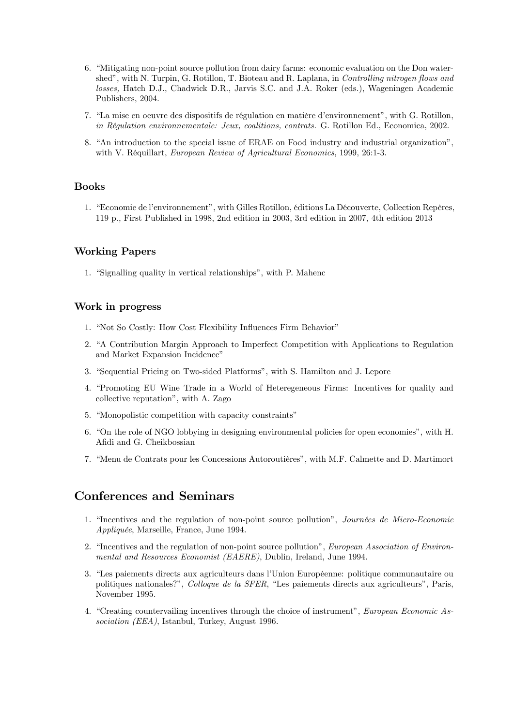- 6. "Mitigating non-point source pollution from dairy farms: economic evaluation on the Don watershed", with N. Turpin, G. Rotillon, T. Bioteau and R. Laplana, in Controlling nitrogen flows and losses, Hatch D.J., Chadwick D.R., Jarvis S.C. and J.A. Roker (eds.), Wageningen Academic Publishers, 2004.
- 7. "La mise en oeuvre des dispositifs de régulation en matière d'environnement", with G. Rotillon, in Réqulation environmementale: Jeux, coalitions, contrats, G. Rotillon Ed., Economica, 2002.
- 8. "An introduction to the special issue of ERAE on Food industry and industrial organization". with V. Réquillart, European Review of Agricultural Economics, 1999, 26:1-3.

#### **Books**

1. "Economie de l'environnement", with Gilles Rotillon, éditions La Découverte, Collection Repères, 119 p., First Published in 1998, 2nd edition in 2003, 3rd edition in 2007, 4th edition 2013

#### **Working Papers**

1. "Signalling quality in vertical relationships", with P. Mahenc

#### Work in progress

- 1. "Not So Costly: How Cost Flexibility Influences Firm Behavior"
- 2. "A Contribution Margin Approach to Imperfect Competition with Applications to Regulation and Market Expansion Incidence"
- 3. "Sequential Pricing on Two-sided Platforms", with S. Hamilton and J. Lepore
- 4. "Promoting EU Wine Trade in a World of Heteregeneous Firms: Incentives for quality and collective reputation", with A. Zago
- 5. "Monopolistic competition with capacity constraints"
- 6. "On the role of NGO lobbying in designing environmental policies for open economies", with H. Afidi and G. Cheikbossian
- 7. "Menu de Contrats pour les Concessions Autoroutières", with M.F. Calmette and D. Martimort

## **Conferences and Seminars**

- 1. "Incentives and the regulation of non-point source pollution", Journées de Micro-Economie Appliquée, Marseille, France, June 1994.
- 2. "Incentives and the regulation of non-point source pollution", European Association of Environmental and Resources Economist (EAERE), Dublin, Ireland, June 1994.
- 3. "Les paiements directs aux agriculteurs dans l'Union Européenne: politique communautaire ou politiques nationales?", Colloque de la SFER, "Les paiements directs aux agriculteurs", Paris, November 1995.
- 4. "Creating countervailing incentives through the choice of instrument", European Economic Association (EEA), Istanbul, Turkey, August 1996.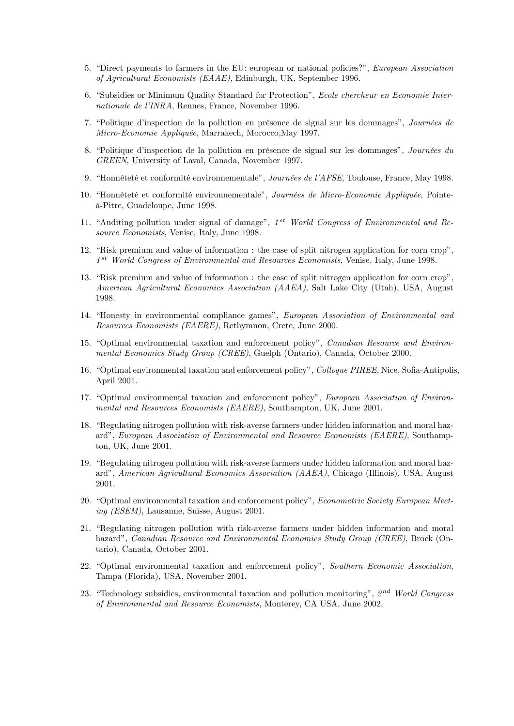- 5. "Direct payments to farmers in the EU: european or national policies?", *European Association* of Agricultural Economists (EAAE), Edinburgh, UK, September 1996.
- 6. "Subsidies or Minimum Quality Standard for Protection", Ecole chercheur en Economie Internationale de l'INRA, Rennes, France, November 1996.
- 7. "Politique d'inspection de la pollution en présence de signal sur les dommages", Journées de Micro-Economie Appliquée, Marrakech, Morocco,May 1997.
- 8. "Politique d'inspection de la pollution en présence de signal sur les dommages", Journées du GREEN, University of Laval, Canada, November 1997.
- 9. "Honnêteté et conformité environnementale", Journées de l'AFSE, Toulouse, France, May 1998.
- 10. "Honnêteté et conformité environnementale", Journées de Micro-Economie Appliquée, Pointe-‡-Pitre, Guadeloupe, June 1998.
- 11. "Auditing pollution under signal of damage",  $1^{st}$  World Congress of Environmental and Resource Economists, Venise, Italy, June 1998.
- 12. "Risk premium and value of information : the case of split nitrogen application for corn crop", 1<sup>st</sup> World Congress of Environmental and Resources Economists, Venise, Italy, June 1998.
- 13. "Risk premium and value of information : the case of split nitrogen application for corn crop", American Agricultural Economics Association (AAEA), Salt Lake City (Utah), USA, August 1998.
- 14. "Honesty in environmental compliance games", European Association of Environmental and Resources Economists (EAERE), Rethymnon, Crete, June 2000.
- 15. "Optimal environmental taxation and enforcement policy", Canadian Resource and Environmental Economics Study Group (CREE), Guelph (Ontario), Canada, October 2000.
- 16. "Optimal environmental taxation and enforcement policy", Colloque PIREE, Nice, Sofia-Antipolis, April 2001.
- 17. "Optimal environmental taxation and enforcement policy", European Association of Environmental and Resources Economists (EAERE), Southampton, UK, June 2001.
- 18. "Regulating nitrogen pollution with risk-averse farmers under hidden information and moral hazard", European Association of Environmental and Resource Economists (EAERE), Southampton, UK, June 2001.
- 19. "Regulating nitrogen pollution with risk-averse farmers under hidden information and moral hazardî, American Agricultural Economics Association (AAEA), Chicago (Illinois), USA, August 2001.
- 20. "Optimal environmental taxation and enforcement policy", Econometric Society European Meeting (ESEM), Lausanne, Suisse, August 2001.
- 21. "Regulating nitrogen pollution with risk-averse farmers under hidden information and moral hazard", Canadian Resource and Environmental Economics Study Group (CREE), Brock (Ontario), Canada, October 2001.
- 22. "Optimal environmental taxation and enforcement policy", Southern Economic Association, Tampa (Florida), USA, November 2001.
- 23. "Technology subsidies, environmental taxation and pollution monitoring",  $2^{nd}$  World Congress of Environmental and Resource Economists, Monterey, CA USA, June 2002.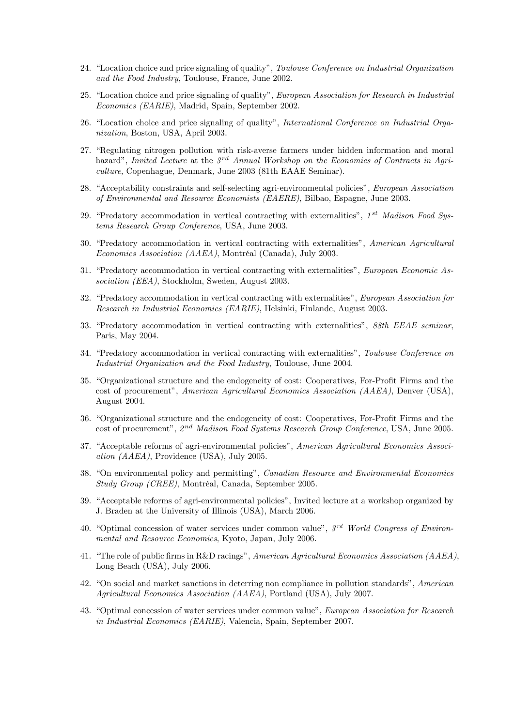- 24. "Location choice and price signaling of quality", *Toulouse Conference on Industrial Organization* and the Food Industry, Toulouse, France, June 2002.
- 25. "Location choice and price signaling of quality", European Association for Research in Industrial Economics (EARIE), Madrid, Spain, September 2002.
- 26. "Location choice and price signaling of quality", International Conference on Industrial Organization, Boston, USA, April 2003.
- 27. "Regulating nitrogen pollution with risk-averse farmers under hidden information and moral hazard", Invited Lecture at the  $3^{rd}$  Annual Workshop on the Economics of Contracts in Agriculture, Copenhague, Denmark, June 2003 (81th EAAE Seminar).
- 28. "Acceptability constraints and self-selecting agri-environmental policies", European Association of Environmental and Resource Economists (EAERE), Bilbao, Espagne, June 2003.
- 29. "Predatory accommodation in vertical contracting with externalities",  $1^{st}$  Madison Food Systems Research Group Conference, USA, June 2003.
- 30. "Predatory accommodation in vertical contracting with externalities", American Agricultural Economics Association (AAEA), Montréal (Canada), July 2003.
- 31. "Predatory accommodation in vertical contracting with externalities", European Economic Association (EEA), Stockholm, Sweden, August 2003.
- 32. "Predatory accommodation in vertical contracting with externalities", European Association for Research in Industrial Economics (EARIE), Helsinki, Finlande, August 2003.
- 33. "Predatory accommodation in vertical contracting with externalities", 88th EEAE seminar, Paris, May 2004.
- 34. "Predatory accommodation in vertical contracting with externalities", Toulouse Conference on Industrial Organization and the Food Industry, Toulouse, June 2004.
- 35. "Organizational structure and the endogeneity of cost: Cooperatives, For-Profit Firms and the cost of procurement", American Agricultural Economics Association (AAEA), Denver (USA), August 2004.
- 36. "Organizational structure and the endogeneity of cost: Cooperatives, For-Profit Firms and the cost of procurement", 2<sup>nd</sup> Madison Food Systems Research Group Conference, USA, June 2005.
- 37. "Acceptable reforms of agri-environmental policies", American Agricultural Economics Association (AAEA), Providence (USA), July 2005.
- 38. "On environmental policy and permitting", Canadian Resource and Environmental Economics Study Group (CREE), Montréal, Canada, September 2005.
- 39. "Acceptable reforms of agri-environmental policies", Invited lecture at a workshop organized by J. Braden at the University of Illinois (USA), March 2006.
- 40. "Optimal concession of water services under common value",  $3<sup>rd</sup>$  World Congress of Environmental and Resource Economics, Kyoto, Japan, July 2006.
- 41. "The role of public firms in R&D racings", American Agricultural Economics Association ( $AABA$ ), Long Beach (USA), July 2006.
- 42. "On social and market sanctions in deterring non compliance in pollution standards", American Agricultural Economics Association (AAEA), Portland (USA), July 2007.
- 43. "Optimal concession of water services under common value", European Association for Research in Industrial Economics (EARIE), Valencia, Spain, September 2007.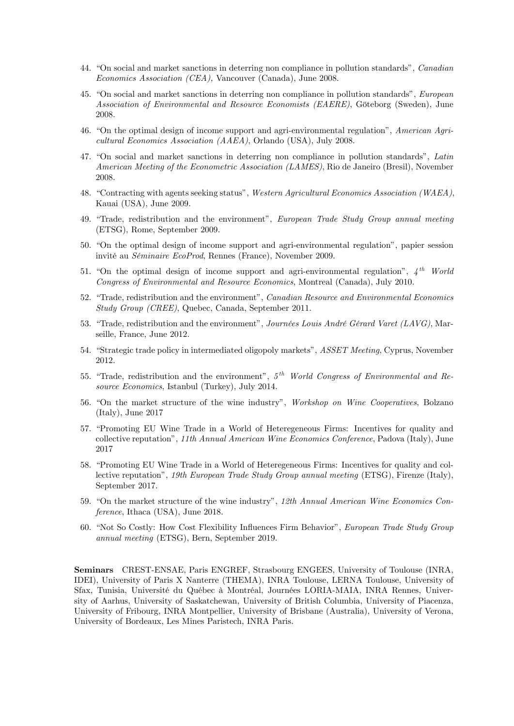- 44. "On social and market sanctions in deterring non compliance in pollution standards", *Canadian* Economics Association (CEA), Vancouver (Canada), June 2008.
- 45. "On social and market sanctions in deterring non compliance in pollution standards", European Association of Environmental and Resource Economists (EAERE), Göteborg (Sweden), June 2008.
- 46. "On the optimal design of income support and agri-environmental regulation", American Agricultural Economics Association (AAEA), Orlando (USA), July 2008.
- 47. "On social and market sanctions in deterring non compliance in pollution standards", Latin American Meeting of the Econometric Association (LAMES), Rio de Janeiro (Bresil), November 2008.
- 48. "Contracting with agents seeking status", Western Agricultural Economics Association (WAEA), Kauai (USA), June 2009.
- 49. "Trade, redistribution and the environment", European Trade Study Group annual meeting (ETSG), Rome, September 2009.
- 50. "On the optimal design of income support and agri-environmental regulation", papier session invité au *Séminaire EcoProd*, Rennes (France), November 2009.
- 51. "On the optimal design of income support and agri-environmental regulation",  $4^{th}$  World Congress of Environmental and Resource Economics, Montreal (Canada), July 2010.
- 52. "Trade, redistribution and the environment", Canadian Resource and Environmental Economics Study Group (CREE), Quebec, Canada, September 2011.
- 53. "Trade, redistribution and the environment", Journées Louis André Gérard Varet (LAVG), Marseille, France, June 2012.
- 54. "Strategic trade policy in intermediated oligopoly markets", *ASSET Meeting*, Cyprus, November 2012.
- 55. "Trade, redistribution and the environment",  $5<sup>th</sup>$  World Congress of Environmental and Resource Economics, Istanbul (Turkey), July 2014.
- 56. "On the market structure of the wine industry", Workshop on Wine Cooperatives, Bolzano (Italy), June 2017
- 57. "Promoting EU Wine Trade in a World of Heteregeneous Firms: Incentives for quality and collective reputationî, 11th Annual American Wine Economics Conference, Padova (Italy), June 2017
- 58. "Promoting EU Wine Trade in a World of Heteregeneous Firms: Incentives for quality and collective reputationî, 19th European Trade Study Group annual meeting (ETSG), Firenze (Italy), September 2017.
- 59. "On the market structure of the wine industry", 12th Annual American Wine Economics Conference, Ithaca (USA), June 2018.
- 60. "Not So Costly: How Cost Flexibility Influences Firm Behavior", European Trade Study Group annual meeting (ETSG), Bern, September 2019.

Seminars CREST-ENSAE, Paris ENGREF, Strasbourg ENGEES, University of Toulouse (INRA, IDEI), University of Paris X Nanterre (THEMA), INRA Toulouse, LERNA Toulouse, University of Sfax, Tunisia, Université du Québec à Montréal, Journées LORIA-MAIA, INRA Rennes, University of Aarhus, University of Saskatchewan, University of British Columbia, University of Piacenza, University of Fribourg, INRA Montpellier, University of Brisbane (Australia), University of Verona, University of Bordeaux, Les Mines Paristech, INRA Paris.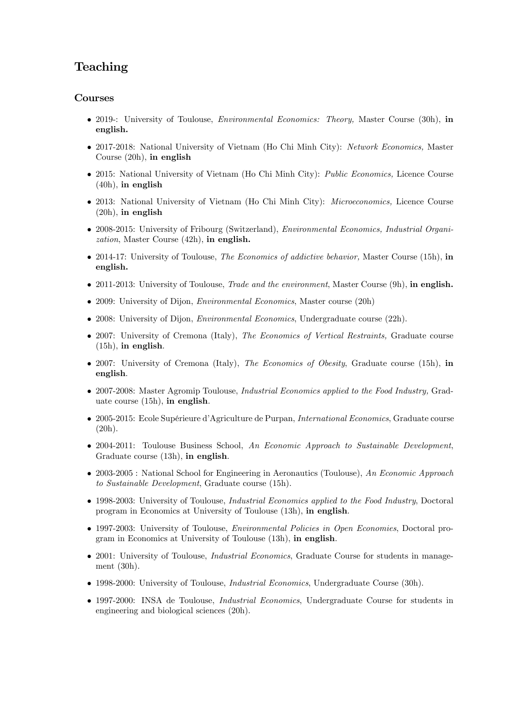# Teaching

#### Courses

- 2019-: University of Toulouse, *Environmental Economics: Theory*, Master Course (30h), in english.
- 2017-2018: National University of Vietnam (Ho Chi Minh City): Network Economics, Master Course (20h), in english
- 2015: National University of Vietnam (Ho Chi Minh City): Public Economics, Licence Course (40h), in english
- 2013: National University of Vietnam (Ho Chi Minh City): *Microeconomics*, Licence Course (20h), in english
- 2008-2015: University of Fribourg (Switzerland), Environmental Economics, Industrial Organization, Master Course (42h), in english.
- 2014-17: University of Toulouse, The Economics of addictive behavior, Master Course (15h), in english.
- 2011-2013: University of Toulouse, *Trade and the environment*, Master Course (9h), in english.
- 2009: University of Dijon, *Environmental Economics*, Master course (20h)
- 2008: University of Dijon, *Environmental Economics*, Undergraduate course (22h).
- 2007: University of Cremona (Italy), *The Economics of Vertical Restraints*, Graduate course (15h), in english.
- 2007: University of Cremona (Italy), The Economics of Obesity, Graduate course (15h), in english.
- 2007-2008: Master Agromip Toulouse, *Industrial Economics applied to the Food Industry*, Graduate course (15h), in english.
- 2005-2015: Ecole SupÈrieure díAgriculture de Purpan, International Economics, Graduate course (20h).
- 2004-2011: Toulouse Business School, An Economic Approach to Sustainable Development, Graduate course (13h), in english.
- 2003-2005 : National School for Engineering in Aeronautics (Toulouse), An Economic Approach to Sustainable Development, Graduate course (15h).
- 1998-2003: University of Toulouse, *Industrial Economics applied to the Food Industry*, Doctoral program in Economics at University of Toulouse (13h), in english.
- 1997-2003: University of Toulouse, Environmental Policies in Open Economies, Doctoral program in Economics at University of Toulouse (13h), in english.
- 2001: University of Toulouse, *Industrial Economics*, Graduate Course for students in management (30h).
- 1998-2000: University of Toulouse, *Industrial Economics*, Undergraduate Course (30h).
- 1997-2000: INSA de Toulouse, *Industrial Economics*, Undergraduate Course for students in engineering and biological sciences (20h).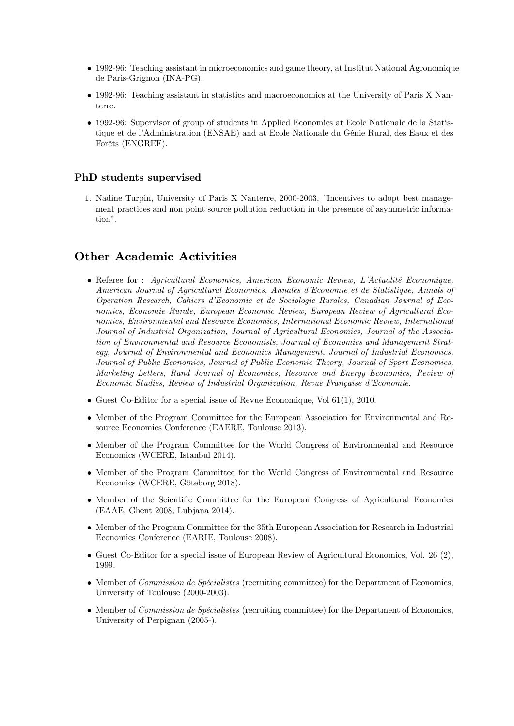- 1992-96: Teaching assistant in microeconomics and game theory, at Institut National Agronomique de Paris-Grignon (INA-PG).
- 1992-96: Teaching assistant in statistics and macroeconomics at the University of Paris X Nanterre.
- 1992-96: Supervisor of group of students in Applied Economics at Ecole Nationale de la Statistique et de l'Administration (ENSAE) and at Ecole Nationale du Génie Rural, des Eaux et des Forêts (ENGREF).

#### PhD students supervised

1. Nadine Turpin, University of Paris X Nanterre, 2000-2003, "Incentives to adopt best management practices and non point source pollution reduction in the presence of asymmetric information".

# Other Academic Activities

- Referee for : Agricultural Economics, American Economic Review, L'Actualité Economique, American Journal of Agricultural Economics, Annales díEconomie et de Statistique, Annals of Operation Research, Cahiers díEconomie et de Sociologie Rurales, Canadian Journal of Economics, Economie Rurale, European Economic Review, European Review of Agricultural Economics, Environmental and Resource Economics, International Economic Review, International Journal of Industrial Organization, Journal of Agricultural Economics, Journal of the Association of Environmental and Resource Economists, Journal of Economics and Management Strategy, Journal of Environmental and Economics Management, Journal of Industrial Economics, Journal of Public Economics, Journal of Public Economic Theory, Journal of Sport Economics, Marketing Letters, Rand Journal of Economics, Resource and Energy Economics, Review of Economic Studies, Review of Industrial Organization, Revue Française d'Economie.
- Guest Co-Editor for a special issue of Revue Economique, Vol 61(1), 2010.
- Member of the Program Committee for the European Association for Environmental and Resource Economics Conference (EAERE, Toulouse 2013).
- Member of the Program Committee for the World Congress of Environmental and Resource Economics (WCERE, Istanbul 2014).
- Member of the Program Committee for the World Congress of Environmental and Resource Economics (WCERE, Göteborg 2018).
- Member of the Scientific Committee for the European Congress of Agricultural Economics (EAAE, Ghent 2008, Lubjana 2014).
- Member of the Program Committee for the 35th European Association for Research in Industrial Economics Conference (EARIE, Toulouse 2008).
- $\bullet$  Guest Co-Editor for a special issue of European Review of Agricultural Economics, Vol. 26 (2), 1999.
- $\bullet$  Member of *Commission de Spécialistes* (recruiting committee) for the Department of Economics, University of Toulouse (2000-2003).
- $\bullet$  Member of *Commission de Spécialistes* (recruiting committee) for the Department of Economics, University of Perpignan (2005-).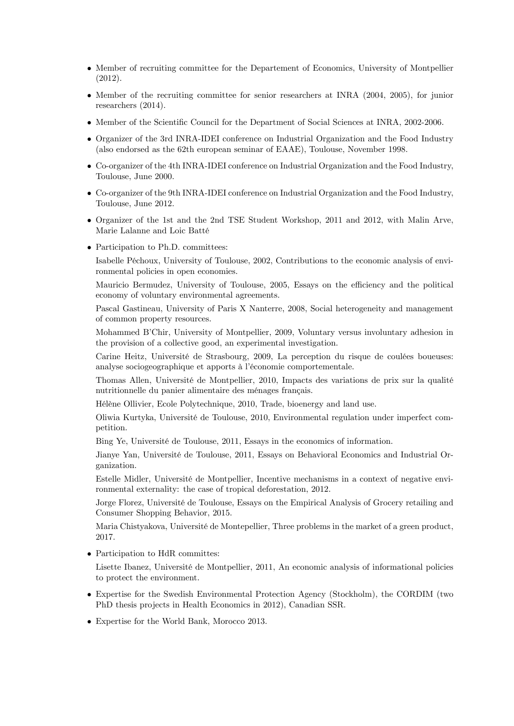- Member of recruiting committee for the Departement of Economics, University of Montpellier (2012).
- Member of the recruiting committee for senior researchers at INRA (2004, 2005), for junior researchers (2014).
- Member of the Scientific Council for the Department of Social Sciences at INRA, 2002-2006.
- Organizer of the 3rd INRA-IDEI conference on Industrial Organization and the Food Industry (also endorsed as the 62th european seminar of EAAE), Toulouse, November 1998.
- Co-organizer of the 4th INRA-IDEI conference on Industrial Organization and the Food Industry, Toulouse, June 2000.
- Co-organizer of the 9th INRA-IDEI conference on Industrial Organization and the Food Industry, Toulouse, June 2012.
- Organizer of the 1st and the 2nd TSE Student Workshop, 2011 and 2012, with Malin Arve, Marie Lalanne and Loic Batté
- Participation to Ph.D. committees:

Isabelle Péchoux, University of Toulouse, 2002, Contributions to the economic analysis of environmental policies in open economies.

Mauricio Bermudez, University of Toulouse, 2005, Essays on the efficiency and the political economy of voluntary environmental agreements.

Pascal Gastineau, University of Paris X Nanterre, 2008, Social heterogeneity and management of common property resources.

Mohammed B'Chir, University of Montpellier, 2009, Voluntary versus involuntary adhesion in the provision of a collective good, an experimental investigation.

Carine Heitz, Université de Strasbourg, 2009, La perception du risque de coulées boueuses: analyse sociogeographique et apports à l'économie comportementale.

Thomas Allen, Université de Montpellier, 2010, Impacts des variations de prix sur la qualité nutritionnelle du panier alimentaire des ménages français.

HÈlËne Ollivier, Ecole Polytechnique, 2010, Trade, bioenergy and land use.

Oliwia Kurtyka, UniversitÈ de Toulouse, 2010, Environmental regulation under imperfect competition.

Bing Ye, Université de Toulouse, 2011, Essays in the economics of information.

Jianye Yan, Université de Toulouse, 2011, Essays on Behavioral Economics and Industrial Organization.

Estelle Midler, UniversitÈ de Montpellier, Incentive mechanisms in a context of negative environmental externality: the case of tropical deforestation, 2012.

Jorge Florez, Université de Toulouse, Essays on the Empirical Analysis of Grocery retailing and Consumer Shopping Behavior, 2015.

Maria Chistyakova, Université de Montepellier, Three problems in the market of a green product, 2017.

Participation to HdR committes:

Lisette Ibanez, Université de Montpellier, 2011, An economic analysis of informational policies to protect the environment.

- Expertise for the Swedish Environmental Protection Agency (Stockholm), the CORDIM (two PhD thesis projects in Health Economics in 2012), Canadian SSR.
- Expertise for the World Bank, Morocco 2013.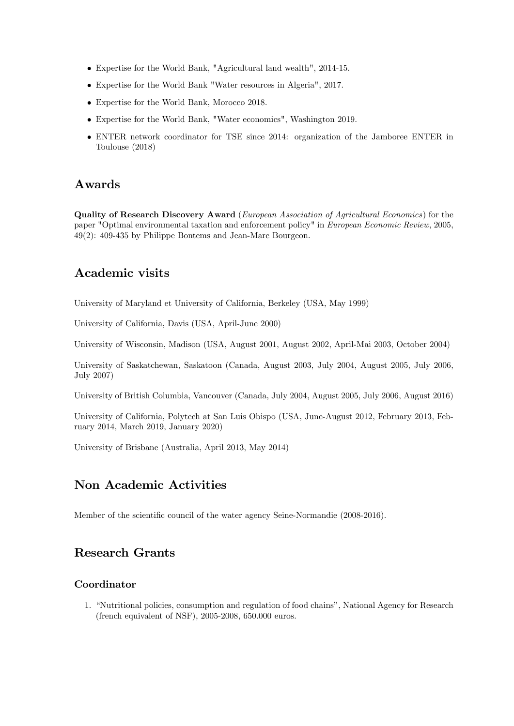- Expertise for the World Bank, "Agricultural land wealth", 2014-15.
- Expertise for the World Bank "Water resources in Algeria", 2017.
- Expertise for the World Bank, Morocco 2018.
- Expertise for the World Bank, "Water economics", Washington 2019.
- ENTER network coordinator for TSE since 2014: organization of the Jamboree ENTER in Toulouse (2018)

### Awards

Quality of Research Discovery Award (European Association of Agricultural Economics) for the paper "Optimal environmental taxation and enforcement policy" in European Economic Review, 2005, 49(2): 409-435 by Philippe Bontems and Jean-Marc Bourgeon.

# Academic visits

University of Maryland et University of California, Berkeley (USA, May 1999)

University of California, Davis (USA, April-June 2000)

University of Wisconsin, Madison (USA, August 2001, August 2002, April-Mai 2003, October 2004)

University of Saskatchewan, Saskatoon (Canada, August 2003, July 2004, August 2005, July 2006, July 2007)

University of British Columbia, Vancouver (Canada, July 2004, August 2005, July 2006, August 2016)

University of California, Polytech at San Luis Obispo (USA, June-August 2012, February 2013, February 2014, March 2019, January 2020)

University of Brisbane (Australia, April 2013, May 2014)

# Non Academic Activities

Member of the scientific council of the water agency Seine-Normandie (2008-2016).

# Research Grants

### Coordinator

1. "Nutritional policies, consumption and regulation of food chains", National Agency for Research (french equivalent of NSF), 2005-2008, 650.000 euros.